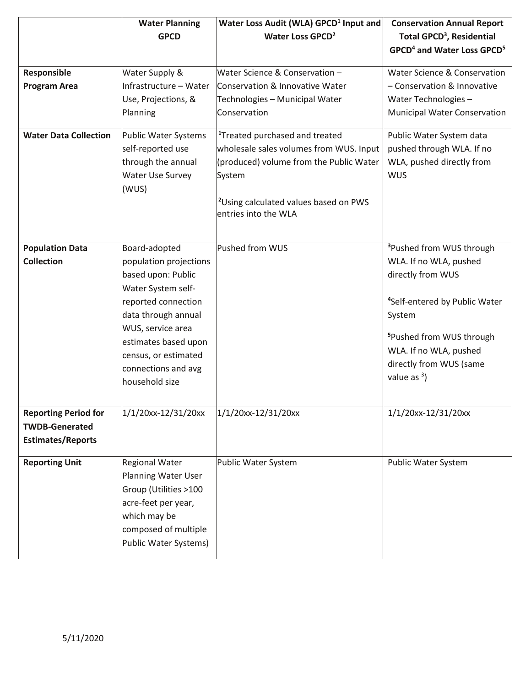|                                                      | <b>Water Planning</b>                     | Water Loss Audit (WLA) GPCD <sup>1</sup> Input and | <b>Conservation Annual Report</b>                  |
|------------------------------------------------------|-------------------------------------------|----------------------------------------------------|----------------------------------------------------|
|                                                      | <b>GPCD</b>                               | Water Loss GPCD <sup>2</sup>                       | Total GPCD <sup>3</sup> , Residential              |
|                                                      |                                           |                                                    | GPCD <sup>4</sup> and Water Loss GPCD <sup>5</sup> |
|                                                      |                                           |                                                    |                                                    |
| Responsible                                          | Water Supply &                            | Water Science & Conservation -                     | Water Science & Conservation                       |
| <b>Program Area</b>                                  | Infrastructure-                           | Conservation & Innovative Water                    | - Conservation & Innovative                        |
|                                                      | <b>Water Supply</b>                       | Technologies – Municipal Water                     | Water Technologies -                               |
|                                                      | Planning                                  | Conservation                                       | <b>Municipal Water Conservation</b>                |
| <b>Water Data Collection</b>                         | Public Water Systems                      | <sup>1</sup> Treated purchased and treated         | Public Water System data                           |
|                                                      | self-reported use                         | wholesale sales volumes from WUS. Input            | pushed through WLA. If no                          |
|                                                      | through the annual                        | (produced) volume from the Public Water            | WLA, pushed directly from                          |
|                                                      | <b>Water Use Survey</b>                   | System                                             | <b>WUS</b>                                         |
|                                                      | (WUS)                                     |                                                    |                                                    |
|                                                      |                                           | <sup>2</sup> Using calculated values based on PWS  |                                                    |
|                                                      |                                           | entries into the WLA                               |                                                    |
|                                                      |                                           |                                                    |                                                    |
| <b>Population Data</b>                               | Board-adopted                             | Pushed from WUS                                    | <sup>3</sup> Pushed from WUS through               |
| <b>Collection</b>                                    | population projections                    |                                                    | WLA. If no WLA, pushed                             |
|                                                      | based upon: Public                        |                                                    | directly from WUS                                  |
|                                                      | Water System self-                        |                                                    |                                                    |
|                                                      | reported connection                       |                                                    | <sup>4</sup> Self-entered by Public Water          |
|                                                      | data through annual                       |                                                    |                                                    |
|                                                      |                                           |                                                    | System                                             |
|                                                      | WUS, service area<br>estimates based upon |                                                    | <sup>5</sup> Pushed from WUS through               |
|                                                      |                                           |                                                    | WLA. If no WLA, pushed                             |
|                                                      | census, or estimated                      |                                                    | directly from WUS (same                            |
|                                                      | connections and avg                       |                                                    | value as $3$ )                                     |
|                                                      | household size                            |                                                    |                                                    |
|                                                      |                                           |                                                    |                                                    |
| <b>Reporting Period for</b><br><b>TWDB-Generated</b> | 1/1/20xx-12/31/20xx                       | 1/1/20xx-12/31/20xx                                | 1/1/20xx-12/31/20xx                                |
|                                                      |                                           |                                                    |                                                    |
| <b>Estimates/Reports</b>                             |                                           |                                                    |                                                    |
| <b>Reporting Unit</b>                                | <b>Regional Water</b>                     | Public Water System                                | Public Water System                                |
|                                                      | <b>Planning Water User</b>                |                                                    |                                                    |
|                                                      | Group (Utilities >100                     |                                                    |                                                    |
|                                                      | acre-feet per year,                       |                                                    |                                                    |
|                                                      | which may be                              |                                                    |                                                    |
|                                                      | composed of multiple                      |                                                    |                                                    |
|                                                      | Public Water Systems)                     |                                                    |                                                    |
|                                                      |                                           |                                                    |                                                    |